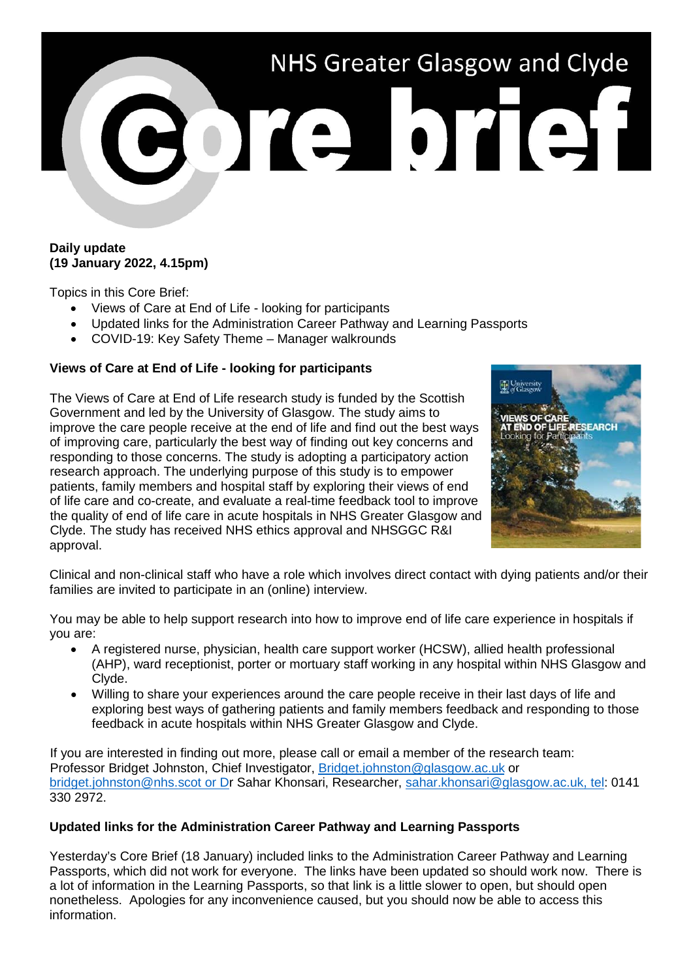# NHS Greater Glasgow and Clyde BOTA DTAI

# **Daily update (19 January 2022, 4.15pm)**

Topics in this Core Brief:

- Views of Care at End of Life looking for participants
- Updated links for the Administration Career Pathway and Learning Passports
- COVID-19: Key Safety Theme Manager walkrounds

# **Views of Care at End of Life - looking for participants**

The Views of Care at End of Life research study is funded by the Scottish Government and led by the University of Glasgow. The study aims to improve the care people receive at the end of life and find out the best ways of improving care, particularly the best way of finding out key concerns and responding to those concerns. The study is adopting a participatory action research approach. The underlying purpose of this study is to empower patients, family members and hospital staff by exploring their views of end of life care and co-create, and evaluate a real-time feedback tool to improve the quality of end of life care in acute hospitals in NHS Greater Glasgow and Clyde. The study has received NHS ethics approval and NHSGGC R&I approval.



Clinical and non-clinical staff who have a role which involves direct contact with dying patients and/or their families are invited to participate in an (online) interview.

You may be able to help support research into how to improve end of life care experience in hospitals if you are:

- A registered nurse, physician, health care support worker (HCSW), allied health professional (AHP), ward receptionist, porter or mortuary staff working in any hospital within NHS Glasgow and Clyde.
- Willing to share your experiences around the care people receive in their last days of life and exploring best ways of gathering patients and family members feedback and responding to those feedback in acute hospitals within NHS Greater Glasgow and Clyde.

If you are interested in finding out more, please call or email a member of the research team: Professor Bridget Johnston, Chief Investigator, [Bridget.johnston@glasgow.ac.uk](mailto:Bridget.johnston@glasgow.ac.uk) or [bridget.johnston@nhs.scot](mailto:bridget.johnston@nhs.scot) or Dr Sahar Khonsari, Researcher, [sahar.khonsari@glasgow.ac.uk,](mailto:sahar.khonsari@glasgow.ac.uk) tel: 0141 330 2972.

## **Updated links for the Administration Career Pathway and Learning Passports**

Yesterday's Core Brief (18 January) included links to the Administration Career Pathway and Learning Passports, which did not work for everyone. The links have been updated so should work now. There is a lot of information in the Learning Passports, so that link is a little slower to open, but should open nonetheless. Apologies for any inconvenience caused, but you should now be able to access this information.